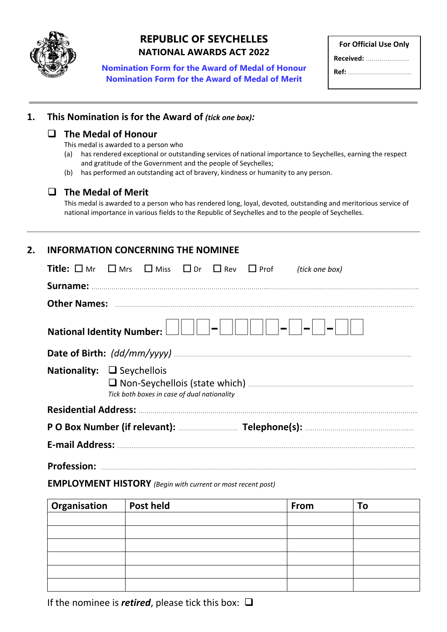

## **REPUBLIC OF SEYCHELLES NATIONAL AWARDS ACT 2022**

**Nomination Form for the Award of Medal of Honour Nomination Form for the Award of Medal of Merit**

| <b>For Official Use Only</b> |  |
|------------------------------|--|
| <b>Received:</b>             |  |
|                              |  |

# **1. This Nomination is for the Award of** *(tick one box):*

### **The Medal of Honour**

This medal is awarded to a person who

- (a) has rendered exceptional or outstanding services of national importance to Seychelles, earning the respect and gratitude of the Government and the people of Seychelles;
- (b) has performed an outstanding act of bravery, kindness or humanity to any person.

### **The Medal of Merit**

This medal is awarded to a person who has rendered long, loyal, devoted, outstanding and meritorious service of national importance in various fields to the Republic of Seychelles and to the people of Seychelles.

## **2. INFORMATION CONCERNING THE NOMINEE**

| <b>Title:</b> $\square$ Mr $\square$ Mrs $\square$ Miss $\square$ Dr $\square$ Rev $\square$ Prof                                  |  |  |  |  |  | (tick one box) |
|------------------------------------------------------------------------------------------------------------------------------------|--|--|--|--|--|----------------|
|                                                                                                                                    |  |  |  |  |  |                |
|                                                                                                                                    |  |  |  |  |  |                |
| National Identity Number: $\Box$ $\Box$ $\Box$ $\Box$ $\Box$ $\Box$<br>$\left  \begin{array}{c} \hline \hline \end{array} \right $ |  |  |  |  |  |                |
|                                                                                                                                    |  |  |  |  |  |                |
| Nationality: $\Box$ Seychellois<br>Tick both boxes in case of dual nationality                                                     |  |  |  |  |  |                |
|                                                                                                                                    |  |  |  |  |  |                |
|                                                                                                                                    |  |  |  |  |  |                |
|                                                                                                                                    |  |  |  |  |  |                |
| <b>Profession:</b>                                                                                                                 |  |  |  |  |  |                |

#### **EMPLOYMENT HISTORY** *(Begin with current or most recent post)*

| <b>Organisation</b> | Post held | From | To |
|---------------------|-----------|------|----|
|                     |           |      |    |
|                     |           |      |    |
|                     |           |      |    |
|                     |           |      |    |
|                     |           |      |    |
|                     |           |      |    |

If the nominee is *retired*, please tick this box:  $\Box$